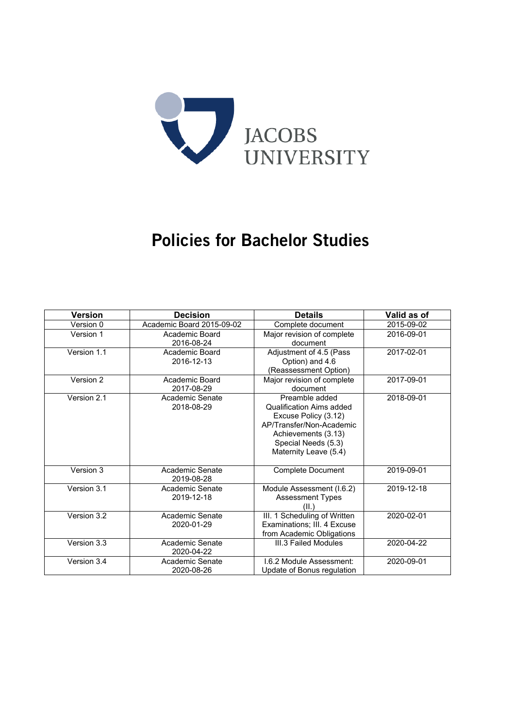

# Policies for Bachelor Studies

| <b>Version</b> | <b>Decision</b>           | <b>Details</b>               | Valid as of |
|----------------|---------------------------|------------------------------|-------------|
| Version 0      | Academic Board 2015-09-02 | Complete document            | 2015-09-02  |
| Version 1      | Academic Board            | Major revision of complete   | 2016-09-01  |
|                | 2016-08-24                | document                     |             |
| Version 1.1    | Academic Board            | Adjustment of 4.5 (Pass      | 2017-02-01  |
|                | 2016-12-13                | Option) and 4.6              |             |
|                |                           | (Reassessment Option)        |             |
| Version 2      | Academic Board            | Major revision of complete   | 2017-09-01  |
|                | 2017-08-29                | document                     |             |
| Version 2.1    | Academic Senate           | Preamble added               | 2018-09-01  |
|                | 2018-08-29                | Qualification Aims added     |             |
|                |                           | Excuse Policy (3.12)         |             |
|                |                           | AP/Transfer/Non-Academic     |             |
|                |                           | Achievements (3.13)          |             |
|                |                           | Special Needs (5.3)          |             |
|                |                           | Maternity Leave (5.4)        |             |
| Version 3      | Academic Senate           | <b>Complete Document</b>     | 2019-09-01  |
|                | 2019-08-28                |                              |             |
| Version 3.1    | Academic Senate           | Module Assessment (I.6.2)    | 2019-12-18  |
|                | 2019-12-18                | <b>Assessment Types</b>      |             |
|                |                           | (II.)                        |             |
| Version 3.2    | Academic Senate           | III. 1 Scheduling of Written | 2020-02-01  |
|                | 2020-01-29                | Examinations; III. 4 Excuse  |             |
|                |                           | from Academic Obligations    |             |
| Version 3.3    | Academic Senate           | III.3 Failed Modules         | 2020-04-22  |
|                | 2020-04-22                |                              |             |
| Version 3.4    | Academic Senate           | 1.6.2 Module Assessment:     | 2020-09-01  |
|                | 2020-08-26                | Update of Bonus regulation   |             |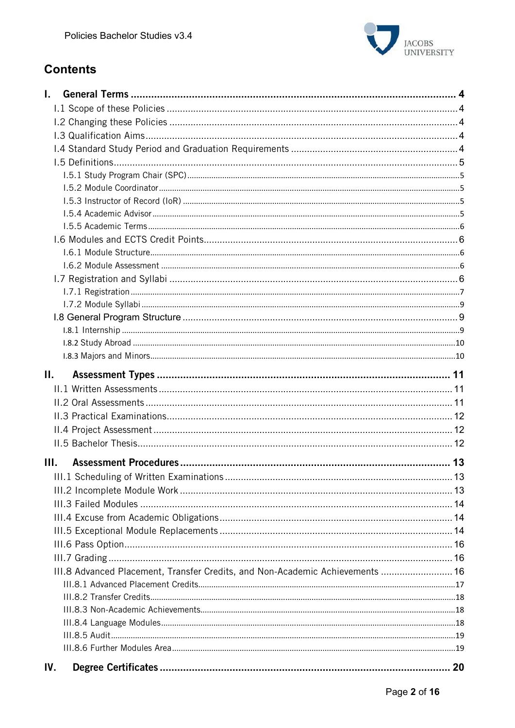

# **Contents**

| L.  |                                                                               |  |
|-----|-------------------------------------------------------------------------------|--|
|     |                                                                               |  |
|     |                                                                               |  |
|     |                                                                               |  |
|     |                                                                               |  |
|     |                                                                               |  |
|     |                                                                               |  |
|     |                                                                               |  |
|     |                                                                               |  |
|     |                                                                               |  |
|     |                                                                               |  |
|     |                                                                               |  |
|     |                                                                               |  |
|     |                                                                               |  |
|     |                                                                               |  |
|     |                                                                               |  |
|     |                                                                               |  |
|     |                                                                               |  |
|     |                                                                               |  |
|     |                                                                               |  |
|     |                                                                               |  |
| П.  |                                                                               |  |
|     |                                                                               |  |
|     |                                                                               |  |
|     |                                                                               |  |
|     |                                                                               |  |
|     |                                                                               |  |
| Ш.  |                                                                               |  |
|     |                                                                               |  |
|     |                                                                               |  |
|     |                                                                               |  |
|     |                                                                               |  |
|     |                                                                               |  |
|     |                                                                               |  |
|     |                                                                               |  |
|     |                                                                               |  |
|     | III.8 Advanced Placement, Transfer Credits, and Non-Academic Achievements  16 |  |
|     |                                                                               |  |
|     |                                                                               |  |
|     |                                                                               |  |
|     |                                                                               |  |
|     |                                                                               |  |
| IV. |                                                                               |  |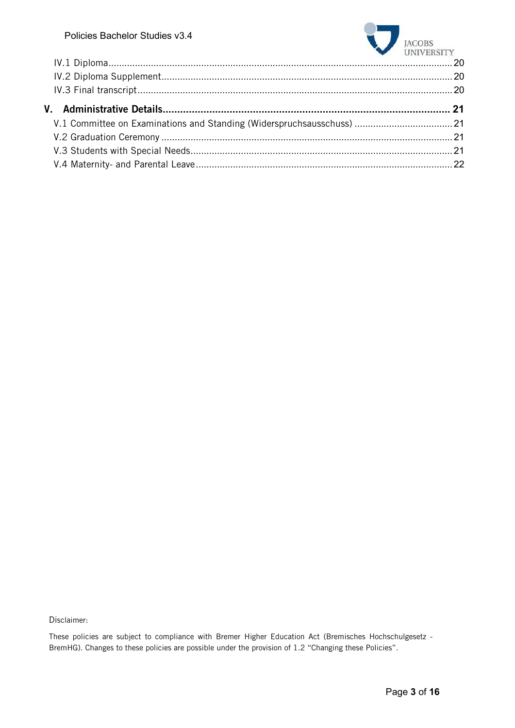

Disclaimer:

These policies are subject to compliance with Bremer Higher Education Act (Bremisches Hochschulgesetz - BremHG). Changes to these policies are possible under the provision of 1.2 "Changing these Policies".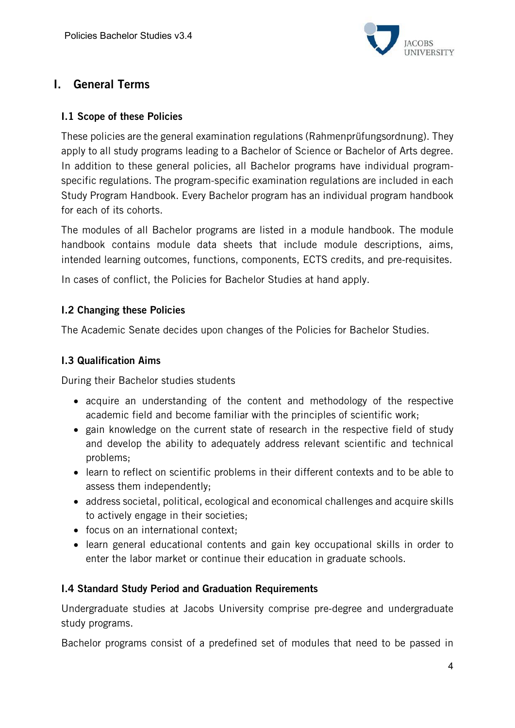

# I. General Terms

### I.1 Scope of these Policies

These policies are the general examination regulations (Rahmenprüfungsordnung). They apply to all study programs leading to a Bachelor of Science or Bachelor of Arts degree. In addition to these general policies, all Bachelor programs have individual programspecific regulations. The program-specific examination regulations are included in each Study Program Handbook. Every Bachelor program has an individual program handbook for each of its cohorts.

The modules of all Bachelor programs are listed in a module handbook. The module handbook contains module data sheets that include module descriptions, aims, intended learning outcomes, functions, components, ECTS credits, and pre-requisites.

In cases of conflict, the Policies for Bachelor Studies at hand apply.

### I.2 Changing these Policies

The Academic Senate decides upon changes of the Policies for Bachelor Studies.

### I.3 Qualification Aims

During their Bachelor studies students

- acquire an understanding of the content and methodology of the respective academic field and become familiar with the principles of scientific work;
- gain knowledge on the current state of research in the respective field of study and develop the ability to adequately address relevant scientific and technical problems;
- learn to reflect on scientific problems in their different contexts and to be able to assess them independently;
- address societal, political, ecological and economical challenges and acquire skills to actively engage in their societies;
- focus on an international context;
- learn general educational contents and gain key occupational skills in order to enter the labor market or continue their education in graduate schools.

### I.4 Standard Study Period and Graduation Requirements

Undergraduate studies at Jacobs University comprise pre-degree and undergraduate study programs.

Bachelor programs consist of a predefined set of modules that need to be passed in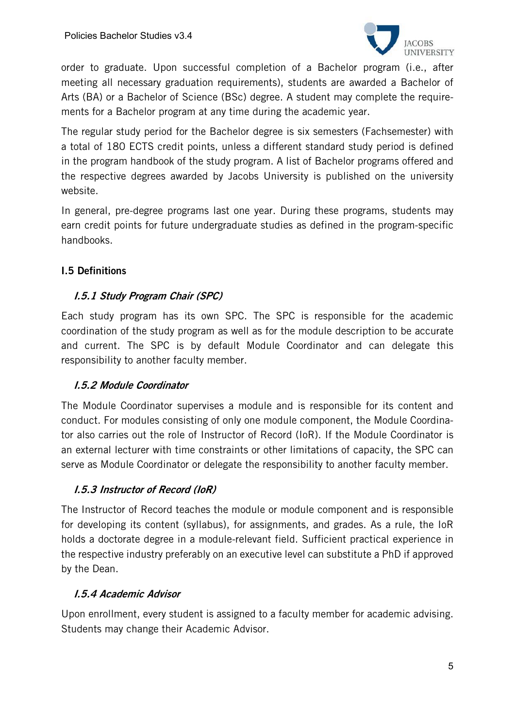

order to graduate. Upon successful completion of a Bachelor program (i.e., after meeting all necessary graduation requirements), students are awarded a Bachelor of Arts (BA) or a Bachelor of Science (BSc) degree. A student may complete the requirements for a Bachelor program at any time during the academic year.

The regular study period for the Bachelor degree is six semesters (Fachsemester) with a total of 180 ECTS credit points, unless a different standard study period is defined in the program handbook of the study program. A list of Bachelor programs offered and the respective degrees awarded by Jacobs University is published on the university website.

In general, pre-degree programs last one year. During these programs, students may earn credit points for future undergraduate studies as defined in the program-specific handbooks.

# I.5 Definitions

### I.5.1 Study Program Chair (SPC)

Each study program has its own SPC. The SPC is responsible for the academic coordination of the study program as well as for the module description to be accurate and current. The SPC is by default Module Coordinator and can delegate this responsibility to another faculty member.

### I.5.2 Module Coordinator

The Module Coordinator supervises a module and is responsible for its content and conduct. For modules consisting of only one module component, the Module Coordinator also carries out the role of Instructor of Record (IoR). If the Module Coordinator is an external lecturer with time constraints or other limitations of capacity, the SPC can serve as Module Coordinator or delegate the responsibility to another faculty member.

### I.5.3 Instructor of Record (IoR)

The Instructor of Record teaches the module or module component and is responsible for developing its content (syllabus), for assignments, and grades. As a rule, the IoR holds a doctorate degree in a module-relevant field. Sufficient practical experience in the respective industry preferably on an executive level can substitute a PhD if approved by the Dean.

### I.5.4 Academic Advisor

Upon enrollment, every student is assigned to a faculty member for academic advising. Students may change their Academic Advisor.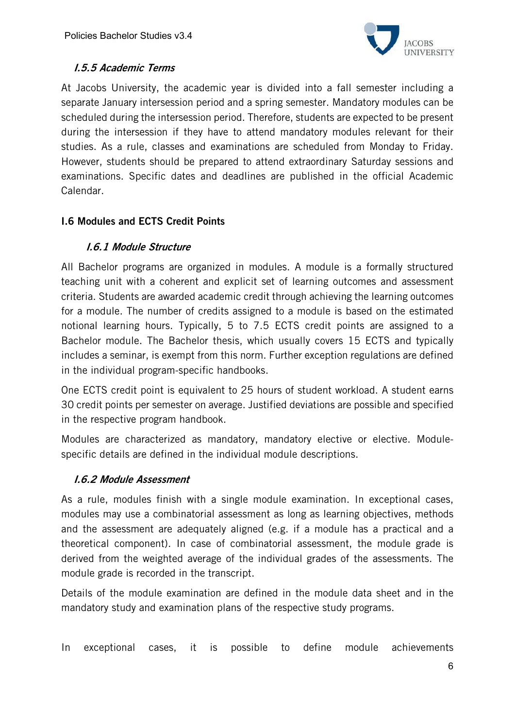

# I.5.5 Academic Terms

At Jacobs University, the academic year is divided into a fall semester including a separate January intersession period and a spring semester. Mandatory modules can be scheduled during the intersession period. Therefore, students are expected to be present during the intersession if they have to attend mandatory modules relevant for their studies. As a rule, classes and examinations are scheduled from Monday to Friday. However, students should be prepared to attend extraordinary Saturday sessions and examinations. Specific dates and deadlines are published in the official Academic Calendar.

# I.6 Modules and ECTS Credit Points

# I.6.1 Module Structure

All Bachelor programs are organized in modules. A module is a formally structured teaching unit with a coherent and explicit set of learning outcomes and assessment criteria. Students are awarded academic credit through achieving the learning outcomes for a module. The number of credits assigned to a module is based on the estimated notional learning hours. Typically, 5 to 7.5 ECTS credit points are assigned to a Bachelor module. The Bachelor thesis, which usually covers 15 ECTS and typically includes a seminar, is exempt from this norm. Further exception regulations are defined in the individual program-specific handbooks.

One ECTS credit point is equivalent to 25 hours of student workload. A student earns 30 credit points per semester on average. Justified deviations are possible and specified in the respective program handbook.

Modules are characterized as mandatory, mandatory elective or elective. Modulespecific details are defined in the individual module descriptions.

### I.6.2 Module Assessment

As a rule, modules finish with a single module examination. In exceptional cases, modules may use a combinatorial assessment as long as learning objectives, methods and the assessment are adequately aligned (e.g. if a module has a practical and a theoretical component). In case of combinatorial assessment, the module grade is derived from the weighted average of the individual grades of the assessments. The module grade is recorded in the transcript.

Details of the module examination are defined in the module data sheet and in the mandatory study and examination plans of the respective study programs.

In exceptional cases, it is possible to define module achievements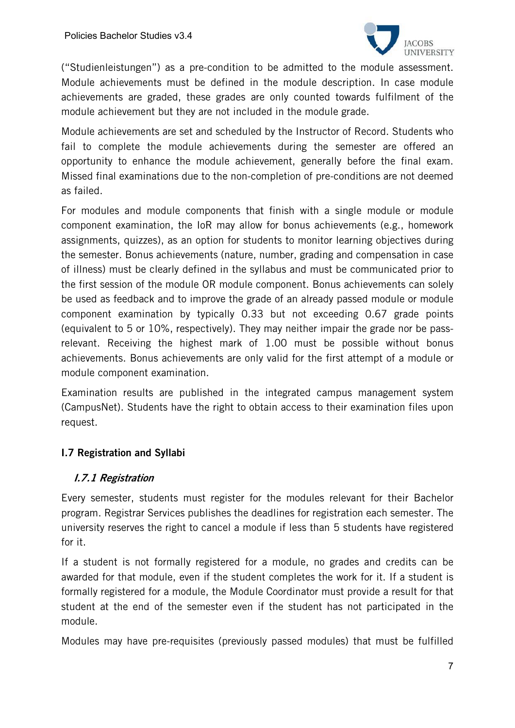

("Studienleistungen") as a pre-condition to be admitted to the module assessment. Module achievements must be defined in the module description. In case module achievements are graded, these grades are only counted towards fulfilment of the module achievement but they are not included in the module grade.

Module achievements are set and scheduled by the Instructor of Record. Students who fail to complete the module achievements during the semester are offered an opportunity to enhance the module achievement, generally before the final exam. Missed final examinations due to the non-completion of pre-conditions are not deemed as failed.

For modules and module components that finish with a single module or module component examination, the IoR may allow for bonus achievements (e.g., homework assignments, quizzes), as an option for students to monitor learning objectives during the semester. Bonus achievements (nature, number, grading and compensation in case of illness) must be clearly defined in the syllabus and must be communicated prior to the first session of the module OR module component. Bonus achievements can solely be used as feedback and to improve the grade of an already passed module or module component examination by typically 0.33 but not exceeding 0.67 grade points (equivalent to 5 or 10%, respectively). They may neither impair the grade nor be passrelevant. Receiving the highest mark of 1.00 must be possible without bonus achievements. Bonus achievements are only valid for the first attempt of a module or module component examination.

Examination results are published in the integrated campus management system (CampusNet). Students have the right to obtain access to their examination files upon request.

# I.7 Registration and Syllabi

### I.7.1 Registration

Every semester, students must register for the modules relevant for their Bachelor program. Registrar Services publishes the deadlines for registration each semester. The university reserves the right to cancel a module if less than 5 students have registered for it.

If a student is not formally registered for a module, no grades and credits can be awarded for that module, even if the student completes the work for it. If a student is formally registered for a module, the Module Coordinator must provide a result for that student at the end of the semester even if the student has not participated in the module.

Modules may have pre-requisites (previously passed modules) that must be fulfilled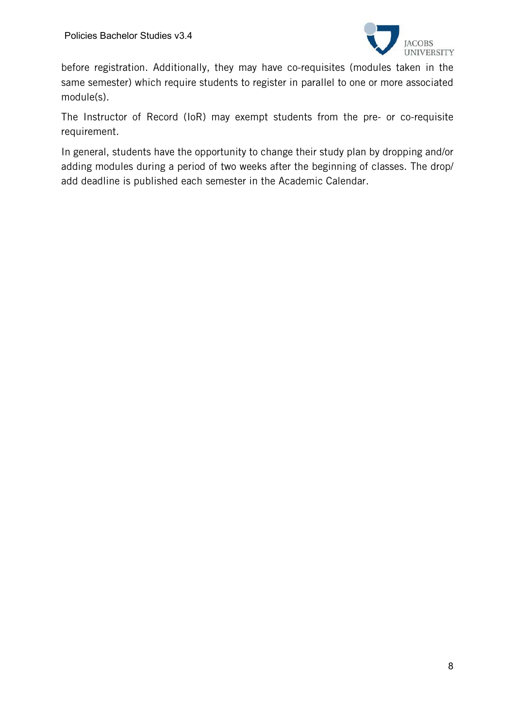

before registration. Additionally, they may have co-requisites (modules taken in the same semester) which require students to register in parallel to one or more associated module(s).

The Instructor of Record (IoR) may exempt students from the pre- or co-requisite requirement.

In general, students have the opportunity to change their study plan by dropping and/or adding modules during a period of two weeks after the beginning of classes. The drop/ add deadline is published each semester in the Academic Calendar.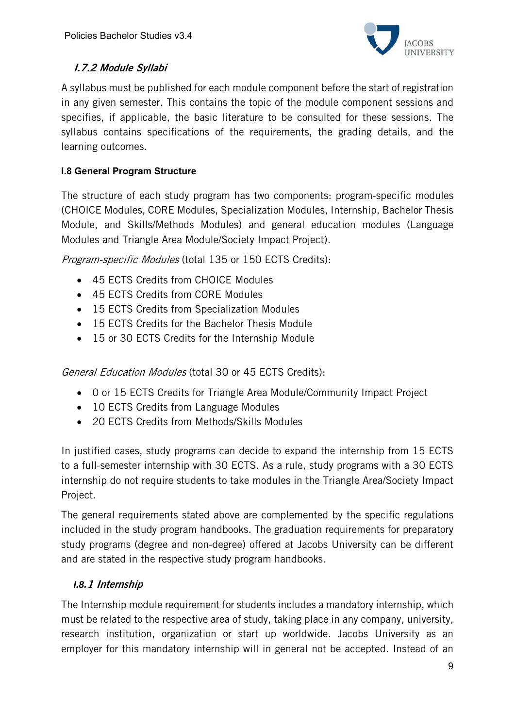

# I.7.2 Module Syllabi

A syllabus must be published for each module component before the start of registration in any given semester. This contains the topic of the module component sessions and specifies, if applicable, the basic literature to be consulted for these sessions. The syllabus contains specifications of the requirements, the grading details, and the learning outcomes.

# **I.8 General Program Structure**

The structure of each study program has two components: program-specific modules (CHOICE Modules, CORE Modules, Specialization Modules, Internship, Bachelor Thesis Module, and Skills/Methods Modules) and general education modules (Language Modules and Triangle Area Module/Society Impact Project).

Program-specific Modules (total 135 or 150 ECTS Credits):

- 45 ECTS Credits from CHOICE Modules
- 45 ECTS Credits from CORE Modules
- 15 ECTS Credits from Specialization Modules
- 15 ECTS Credits for the Bachelor Thesis Module
- 15 or 30 ECTS Credits for the Internship Module

General Education Modules (total 30 or 45 ECTS Credits):

- 0 or 15 ECTS Credits for Triangle Area Module/Community Impact Project
- 10 ECTS Credits from Language Modules
- 20 ECTS Credits from Methods/Skills Modules

In justified cases, study programs can decide to expand the internship from 15 ECTS to a full-semester internship with 30 ECTS. As a rule, study programs with a 30 ECTS internship do not require students to take modules in the Triangle Area/Society Impact Project.

The general requirements stated above are complemented by the specific regulations included in the study program handbooks. The graduation requirements for preparatory study programs (degree and non-degree) offered at Jacobs University can be different and are stated in the respective study program handbooks.

# *I.8.*1 Internship

The Internship module requirement for students includes a mandatory internship, which must be related to the respective area of study, taking place in any company, university, research institution, organization or start up worldwide. Jacobs University as an employer for this mandatory internship will in general not be accepted. Instead of an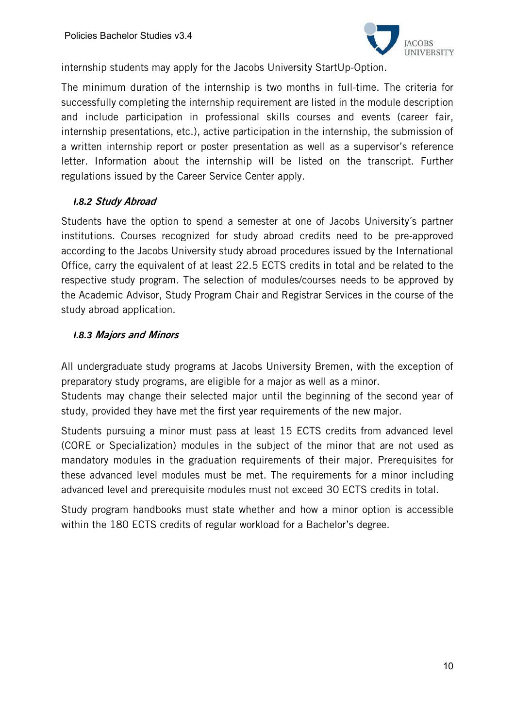

internship students may apply for the Jacobs University StartUp-Option.

The minimum duration of the internship is two months in full-time. The criteria for successfully completing the internship requirement are listed in the module description and include participation in professional skills courses and events (career fair, internship presentations, etc.), active participation in the internship, the submission of a written internship report or poster presentation as well as a supervisor's reference letter. Information about the internship will be listed on the transcript. Further regulations issued by the Career Service Center apply.

### *I.8.2* Study Abroad

Students have the option to spend a semester at one of Jacobs University´s partner institutions. Courses recognized for study abroad credits need to be pre-approved according to the Jacobs University study abroad procedures issued by the International Office, carry the equivalent of at least 22.5 ECTS credits in total and be related to the respective study program. The selection of modules/courses needs to be approved by the Academic Advisor, Study Program Chair and Registrar Services in the course of the study abroad application.

### *I.8.3* Majors and Minors

All undergraduate study programs at Jacobs University Bremen, with the exception of preparatory study programs, are eligible for a major as well as a minor.

Students may change their selected major until the beginning of the second year of study, provided they have met the first year requirements of the new major.

Students pursuing a minor must pass at least 15 ECTS credits from advanced level (CORE or Specialization) modules in the subject of the minor that are not used as mandatory modules in the graduation requirements of their major. Prerequisites for these advanced level modules must be met. The requirements for a minor including advanced level and prerequisite modules must not exceed 30 ECTS credits in total.

Study program handbooks must state whether and how a minor option is accessible within the 180 ECTS credits of regular workload for a Bachelor's degree.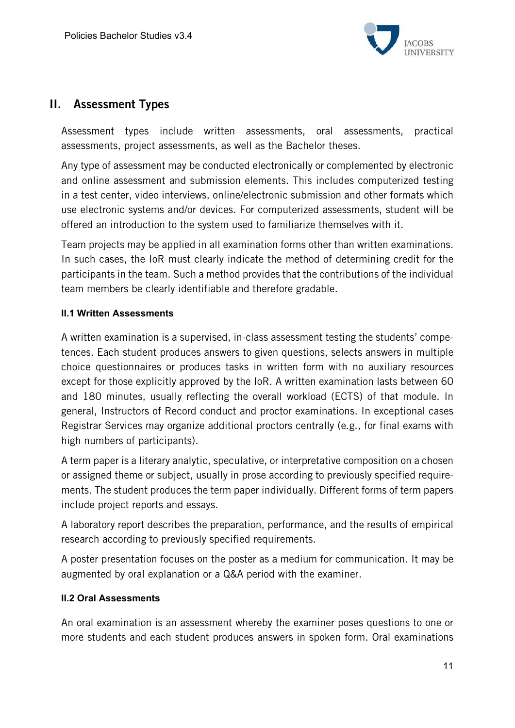

# II. Assessment Types

Assessment types include written assessments, oral assessments, practical assessments, project assessments, as well as the Bachelor theses.

Any type of assessment may be conducted electronically or complemented by electronic and online assessment and submission elements. This includes computerized testing in a test center, video interviews, online/electronic submission and other formats which use electronic systems and/or devices. For computerized assessments, student will be offered an introduction to the system used to familiarize themselves with it.

Team projects may be applied in all examination forms other than written examinations. In such cases, the IoR must clearly indicate the method of determining credit for the participants in the team. Such a method provides that the contributions of the individual team members be clearly identifiable and therefore gradable.

### **II.1 Written Assessments**

A written examination is a supervised, in-class assessment testing the students' competences. Each student produces answers to given questions, selects answers in multiple choice questionnaires or produces tasks in written form with no auxiliary resources except for those explicitly approved by the IoR. A written examination lasts between 60 and 180 minutes, usually reflecting the overall workload (ECTS) of that module. In general, Instructors of Record conduct and proctor examinations. In exceptional cases Registrar Services may organize additional proctors centrally (e.g., for final exams with high numbers of participants).

A term paper is a literary analytic, speculative, or interpretative composition on a chosen or assigned theme or subject, usually in prose according to previously specified requirements. The student produces the term paper individually. Different forms of term papers include project reports and essays.

A laboratory report describes the preparation, performance, and the results of empirical research according to previously specified requirements.

A poster presentation focuses on the poster as a medium for communication. It may be augmented by oral explanation or a Q&A period with the examiner.

### **II.2 Oral Assessments**

An oral examination is an assessment whereby the examiner poses questions to one or more students and each student produces answers in spoken form. Oral examinations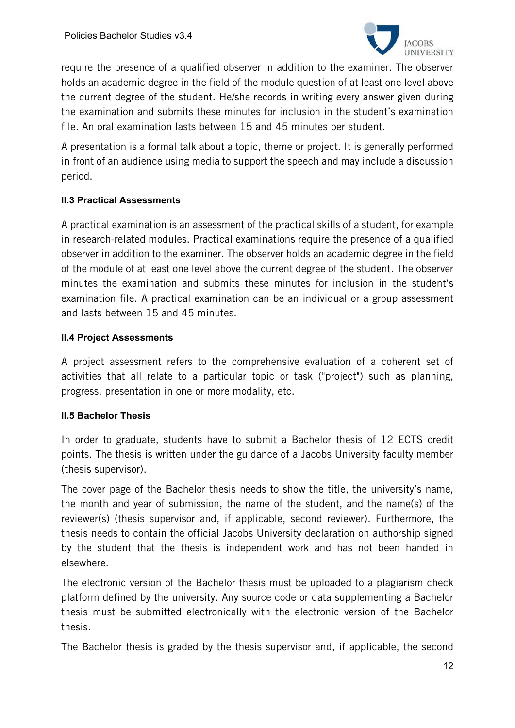

require the presence of a qualified observer in addition to the examiner. The observer holds an academic degree in the field of the module question of at least one level above the current degree of the student. He/she records in writing every answer given during the examination and submits these minutes for inclusion in the student's examination file. An oral examination lasts between 15 and 45 minutes per student.

A presentation is a formal talk about a topic, theme or project. It is generally performed in front of an audience using media to support the speech and may include a discussion period.

### **II.3 Practical Assessments**

A practical examination is an assessment of the practical skills of a student, for example in research-related modules. Practical examinations require the presence of a qualified observer in addition to the examiner. The observer holds an academic degree in the field of the module of at least one level above the current degree of the student. The observer minutes the examination and submits these minutes for inclusion in the student's examination file. A practical examination can be an individual or a group assessment and lasts between 15 and 45 minutes.

### **II.4 Project Assessments**

A project assessment refers to the comprehensive evaluation of a coherent set of activities that all relate to a particular topic or task ("project") such as planning, progress, presentation in one or more modality, etc.

### **II.5 Bachelor Thesis**

In order to graduate, students have to submit a Bachelor thesis of 12 ECTS credit points. The thesis is written under the guidance of a Jacobs University faculty member (thesis supervisor).

The cover page of the Bachelor thesis needs to show the title, the university's name, the month and year of submission, the name of the student, and the name(s) of the reviewer(s) (thesis supervisor and, if applicable, second reviewer). Furthermore, the thesis needs to contain the official Jacobs University declaration on authorship signed by the student that the thesis is independent work and has not been handed in elsewhere.

The electronic version of the Bachelor thesis must be uploaded to a plagiarism check platform defined by the university. Any source code or data supplementing a Bachelor thesis must be submitted electronically with the electronic version of the Bachelor thesis.

The Bachelor thesis is graded by the thesis supervisor and, if applicable, the second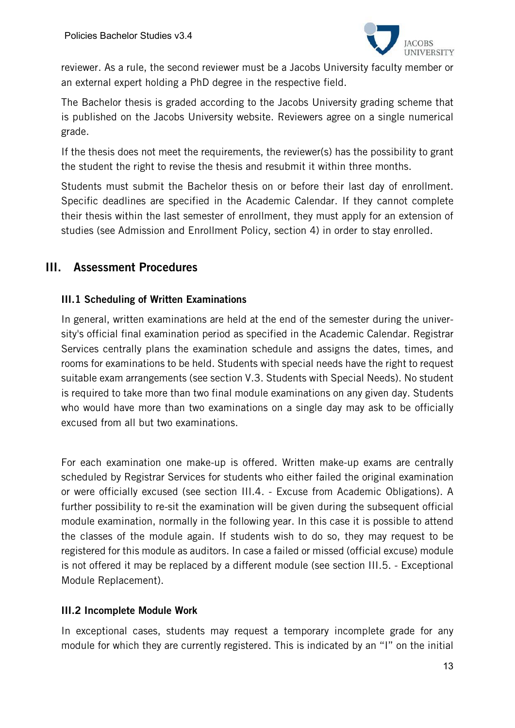

reviewer. As a rule, the second reviewer must be a Jacobs University faculty member or an external expert holding a PhD degree in the respective field.

The Bachelor thesis is graded according to the Jacobs University grading scheme that is published on the Jacobs University website. Reviewers agree on a single numerical grade.

If the thesis does not meet the requirements, the reviewer(s) has the possibility to grant the student the right to revise the thesis and resubmit it within three months.

Students must submit the Bachelor thesis on or before their last day of enrollment. Specific deadlines are specified in the Academic Calendar. If they cannot complete their thesis within the last semester of enrollment, they must apply for an extension of studies (see Admission and Enrollment Policy, section 4) in order to stay enrolled.

# III. Assessment Procedures

### III.1 Scheduling of Written Examinations

In general, written examinations are held at the end of the semester during the university's official final examination period as specified in the Academic Calendar. Registrar Services centrally plans the examination schedule and assigns the dates, times, and rooms for examinations to be held. Students with special needs have the right to request suitable exam arrangements (see section V.3. Students with Special Needs). No student is required to take more than two final module examinations on any given day. Students who would have more than two examinations on a single day may ask to be officially excused from all but two examinations.

For each examination one make-up is offered. Written make-up exams are centrally scheduled by Registrar Services for students who either failed the original examination or were officially excused (see section III.4. - Excuse from Academic Obligations). A further possibility to re-sit the examination will be given during the subsequent official module examination, normally in the following year. In this case it is possible to attend the classes of the module again. If students wish to do so, they may request to be registered for this module as auditors. In case a failed or missed (official excuse) module is not offered it may be replaced by a different module (see section III.5. - Exceptional Module Replacement).

### III.2 Incomplete Module Work

In exceptional cases, students may request a temporary incomplete grade for any module for which they are currently registered. This is indicated by an "I" on the initial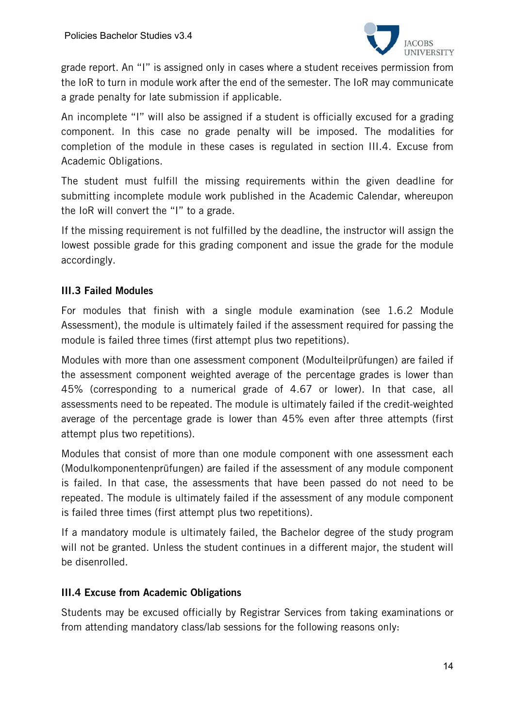

grade report. An "I" is assigned only in cases where a student receives permission from the IoR to turn in module work after the end of the semester. The IoR may communicate a grade penalty for late submission if applicable.

An incomplete "I" will also be assigned if a student is officially excused for a grading component. In this case no grade penalty will be imposed. The modalities for completion of the module in these cases is regulated in section III.4. Excuse from Academic Obligations.

The student must fulfill the missing requirements within the given deadline for submitting incomplete module work published in the Academic Calendar, whereupon the IoR will convert the "I" to a grade.

If the missing requirement is not fulfilled by the deadline, the instructor will assign the lowest possible grade for this grading component and issue the grade for the module accordingly.

# III.3 Failed Modules

For modules that finish with a single module examination (see 1.6.2 Module Assessment), the module is ultimately failed if the assessment required for passing the module is failed three times (first attempt plus two repetitions).

Modules with more than one assessment component (Modulteilprüfungen) are failed if the assessment component weighted average of the percentage grades is lower than 45% (corresponding to a numerical grade of 4.67 or lower). In that case, all assessments need to be repeated. The module is ultimately failed if the credit-weighted average of the percentage grade is lower than 45% even after three attempts (first attempt plus two repetitions).

Modules that consist of more than one module component with one assessment each (Modulkomponentenprüfungen) are failed if the assessment of any module component is failed. In that case, the assessments that have been passed do not need to be repeated. The module is ultimately failed if the assessment of any module component is failed three times (first attempt plus two repetitions).

If a mandatory module is ultimately failed, the Bachelor degree of the study program will not be granted. Unless the student continues in a different major, the student will be disenrolled.

### III.4 Excuse from Academic Obligations

Students may be excused officially by Registrar Services from taking examinations or from attending mandatory class/lab sessions for the following reasons only: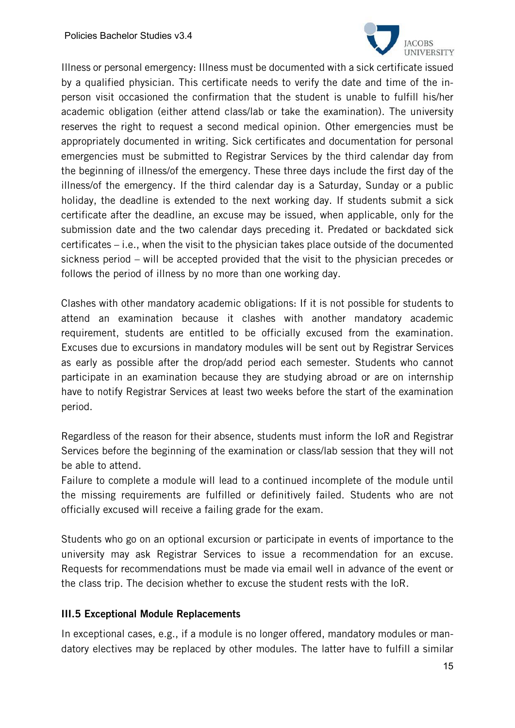

Illness or personal emergency: Illness must be documented with a sick certificate issued by a qualified physician. This certificate needs to verify the date and time of the inperson visit occasioned the confirmation that the student is unable to fulfill his/her academic obligation (either attend class/lab or take the examination). The university reserves the right to request a second medical opinion. Other emergencies must be appropriately documented in writing. Sick certificates and documentation for personal emergencies must be submitted to Registrar Services by the third calendar day from the beginning of illness/of the emergency. These three days include the first day of the illness/of the emergency. If the third calendar day is a Saturday, Sunday or a public holiday, the deadline is extended to the next working day. If students submit a sick certificate after the deadline, an excuse may be issued, when applicable, only for the submission date and the two calendar days preceding it. Predated or backdated sick certificates – i.e., when the visit to the physician takes place outside of the documented sickness period – will be accepted provided that the visit to the physician precedes or follows the period of illness by no more than one working day.

Clashes with other mandatory academic obligations: If it is not possible for students to attend an examination because it clashes with another mandatory academic requirement, students are entitled to be officially excused from the examination. Excuses due to excursions in mandatory modules will be sent out by Registrar Services as early as possible after the drop/add period each semester. Students who cannot participate in an examination because they are studying abroad or are on internship have to notify Registrar Services at least two weeks before the start of the examination period.

Regardless of the reason for their absence, students must inform the IoR and Registrar Services before the beginning of the examination or class/lab session that they will not be able to attend.

Failure to complete a module will lead to a continued incomplete of the module until the missing requirements are fulfilled or definitively failed. Students who are not officially excused will receive a failing grade for the exam.

Students who go on an optional excursion or participate in events of importance to the university may ask Registrar Services to issue a recommendation for an excuse. Requests for recommendations must be made via email well in advance of the event or the class trip. The decision whether to excuse the student rests with the IoR.

### III.5 Exceptional Module Replacements

In exceptional cases, e.g., if a module is no longer offered, mandatory modules or mandatory electives may be replaced by other modules. The latter have to fulfill a similar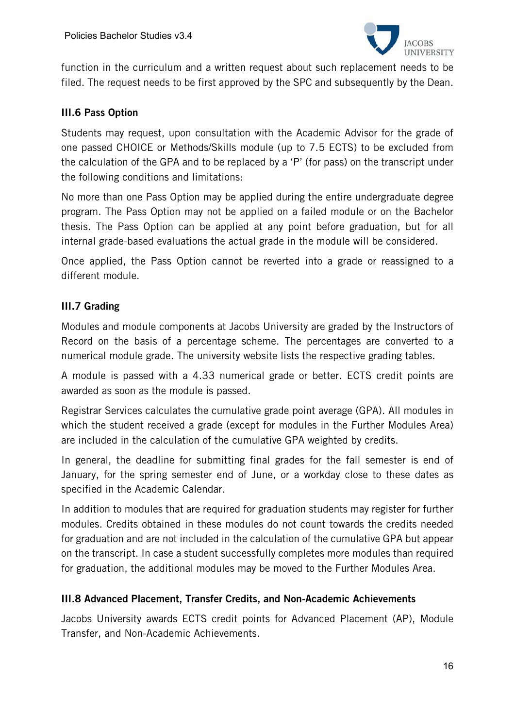

function in the curriculum and a written request about such replacement needs to be filed. The request needs to be first approved by the SPC and subsequently by the Dean.

#### III.6 Pass Option

Students may request, upon consultation with the Academic Advisor for the grade of one passed CHOICE or Methods/Skills module (up to 7.5 ECTS) to be excluded from the calculation of the GPA and to be replaced by a 'P' (for pass) on the transcript under the following conditions and limitations:

No more than one Pass Option may be applied during the entire undergraduate degree program. The Pass Option may not be applied on a failed module or on the Bachelor thesis. The Pass Option can be applied at any point before graduation, but for all internal grade-based evaluations the actual grade in the module will be considered.

Once applied, the Pass Option cannot be reverted into a grade or reassigned to a different module.

### III.7 Grading

Modules and module components at Jacobs University are graded by the Instructors of Record on the basis of a percentage scheme. The percentages are converted to a numerical module grade. The university website lists the respective grading tables.

A module is passed with a 4.33 numerical grade or better. ECTS credit points are awarded as soon as the module is passed.

Registrar Services calculates the cumulative grade point average (GPA). All modules in which the student received a grade (except for modules in the Further Modules Area) are included in the calculation of the cumulative GPA weighted by credits.

In general, the deadline for submitting final grades for the fall semester is end of January, for the spring semester end of June, or a workday close to these dates as specified in the Academic Calendar.

In addition to modules that are required for graduation students may register for further modules. Credits obtained in these modules do not count towards the credits needed for graduation and are not included in the calculation of the cumulative GPA but appear on the transcript. In case a student successfully completes more modules than required for graduation, the additional modules may be moved to the Further Modules Area.

### III.8 Advanced Placement, Transfer Credits, and Non-Academic Achievements

Jacobs University awards ECTS credit points for Advanced Placement (AP), Module Transfer, and Non-Academic Achievements.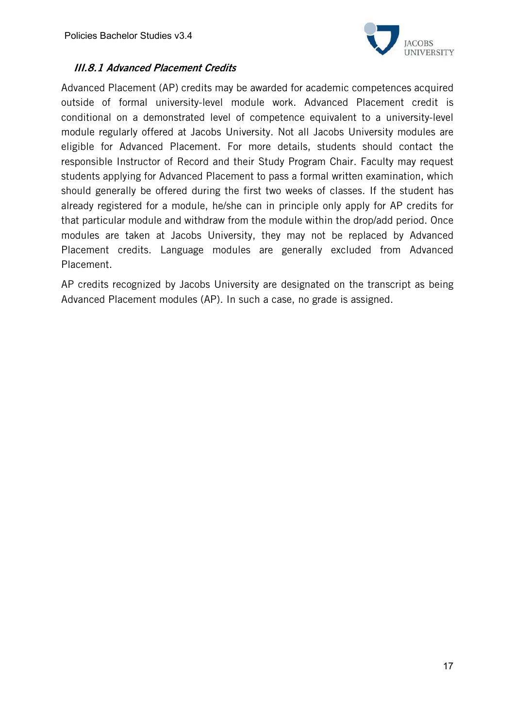

### III.8.1 Advanced Placement Credits

Advanced Placement (AP) credits may be awarded for academic competences acquired outside of formal university-level module work. Advanced Placement credit is conditional on a demonstrated level of competence equivalent to a university-level module regularly offered at Jacobs University. Not all Jacobs University modules are eligible for Advanced Placement. For more details, students should contact the responsible Instructor of Record and their Study Program Chair. Faculty may request students applying for Advanced Placement to pass a formal written examination, which should generally be offered during the first two weeks of classes. If the student has already registered for a module, he/she can in principle only apply for AP credits for that particular module and withdraw from the module within the drop/add period. Once modules are taken at Jacobs University, they may not be replaced by Advanced Placement credits. Language modules are generally excluded from Advanced Placement.

AP credits recognized by Jacobs University are designated on the transcript as being Advanced Placement modules (AP). In such a case, no grade is assigned.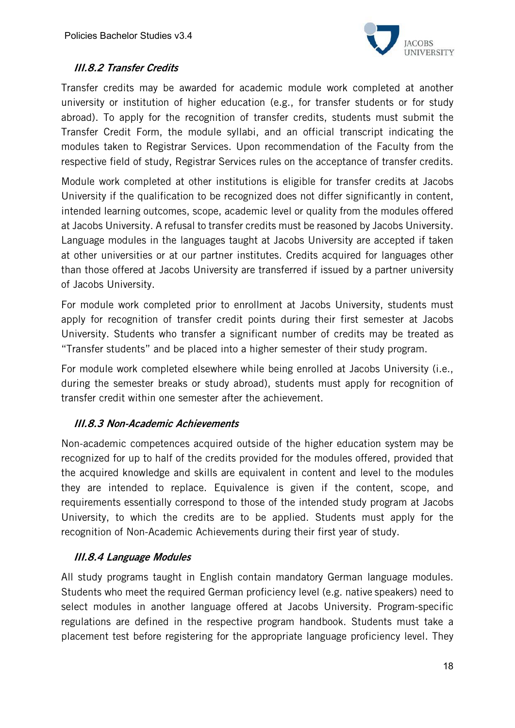

# III.8.2 Transfer Credits

Transfer credits may be awarded for academic module work completed at another university or institution of higher education (e.g., for transfer students or for study abroad). To apply for the recognition of transfer credits, students must submit the Transfer Credit Form, the module syllabi, and an official transcript indicating the modules taken to Registrar Services. Upon recommendation of the Faculty from the respective field of study, Registrar Services rules on the acceptance of transfer credits.

Module work completed at other institutions is eligible for transfer credits at Jacobs University if the qualification to be recognized does not differ significantly in content, intended learning outcomes, scope, academic level or quality from the modules offered at Jacobs University. A refusal to transfer credits must be reasoned by Jacobs University. Language modules in the languages taught at Jacobs University are accepted if taken at other universities or at our partner institutes. Credits acquired for languages other than those offered at Jacobs University are transferred if issued by a partner university of Jacobs University.

For module work completed prior to enrollment at Jacobs University, students must apply for recognition of transfer credit points during their first semester at Jacobs University. Students who transfer a significant number of credits may be treated as "Transfer students" and be placed into a higher semester of their study program.

For module work completed elsewhere while being enrolled at Jacobs University (i.e., during the semester breaks or study abroad), students must apply for recognition of transfer credit within one semester after the achievement.

### III.8.3 Non-Academic Achievements

Non-academic competences acquired outside of the higher education system may be recognized for up to half of the credits provided for the modules offered, provided that the acquired knowledge and skills are equivalent in content and level to the modules they are intended to replace. Equivalence is given if the content, scope, and requirements essentially correspond to those of the intended study program at Jacobs University, to which the credits are to be applied. Students must apply for the recognition of Non-Academic Achievements during their first year of study.

### III.8.4 Language Modules

All study programs taught in English contain mandatory German language modules. Students who meet the required German proficiency level (e.g. native speakers) need to select modules in another language offered at Jacobs University. Program-specific regulations are defined in the respective program handbook. Students must take a placement test before registering for the appropriate language proficiency level. They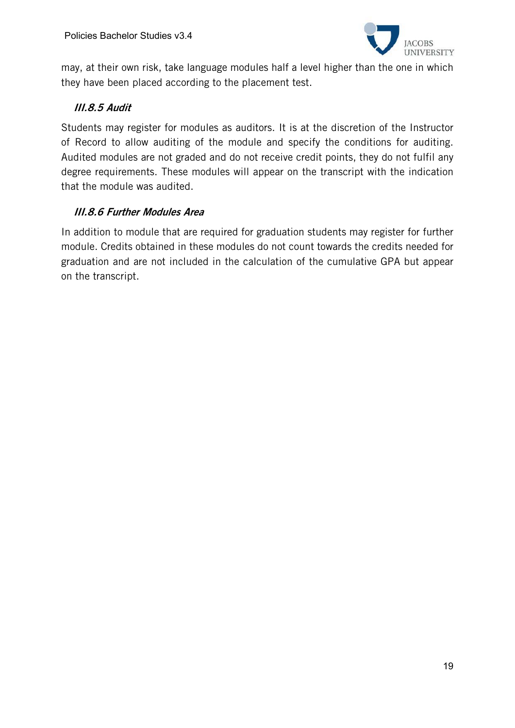

may, at their own risk, take language modules half a level higher than the one in which they have been placed according to the placement test.

# III.8.5 Audit

Students may register for modules as auditors. It is at the discretion of the Instructor of Record to allow auditing of the module and specify the conditions for auditing. Audited modules are not graded and do not receive credit points, they do not fulfil any degree requirements. These modules will appear on the transcript with the indication that the module was audited.

# III.8.6 Further Modules Area

In addition to module that are required for graduation students may register for further module. Credits obtained in these modules do not count towards the credits needed for graduation and are not included in the calculation of the cumulative GPA but appear on the transcript.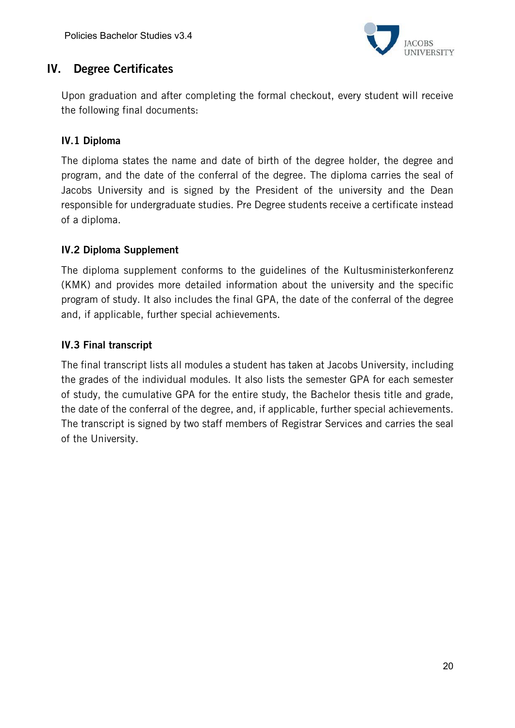

# IV. Degree Certificates

Upon graduation and after completing the formal checkout, every student will receive the following final documents:

# IV.1 Diploma

The diploma states the name and date of birth of the degree holder, the degree and program, and the date of the conferral of the degree. The diploma carries the seal of Jacobs University and is signed by the President of the university and the Dean responsible for undergraduate studies. Pre Degree students receive a certificate instead of a diploma.

### IV.2 Diploma Supplement

The diploma supplement conforms to the guidelines of the Kultusministerkonferenz (KMK) and provides more detailed information about the university and the specific program of study. It also includes the final GPA, the date of the conferral of the degree and, if applicable, further special achievements.

### IV.3 Final transcript

The final transcript lists all modules a student has taken at Jacobs University, including the grades of the individual modules. It also lists the semester GPA for each semester of study, the cumulative GPA for the entire study, the Bachelor thesis title and grade, the date of the conferral of the degree, and, if applicable, further special achievements. The transcript is signed by two staff members of Registrar Services and carries the seal of the University.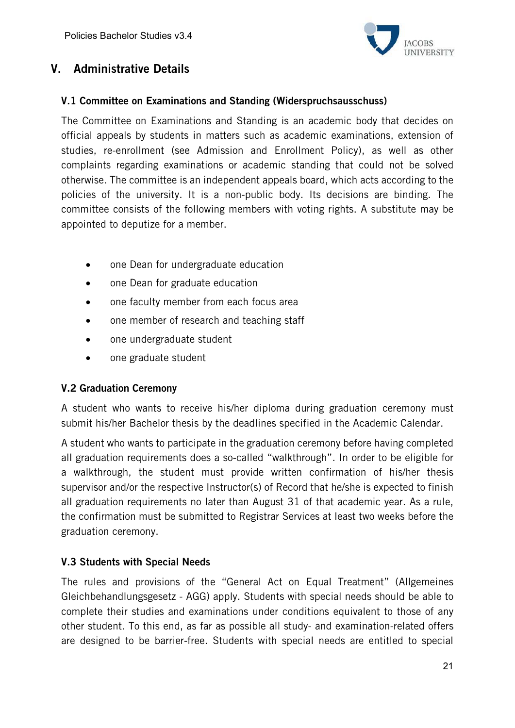

# V. Administrative Details

#### V.1 Committee on Examinations and Standing (Widerspruchsausschuss)

The Committee on Examinations and Standing is an academic body that decides on official appeals by students in matters such as academic examinations, extension of studies, re-enrollment (see Admission and Enrollment Policy), as well as other complaints regarding examinations or academic standing that could not be solved otherwise. The committee is an independent appeals board, which acts according to the policies of the university. It is a non-public body. Its decisions are binding. The committee consists of the following members with voting rights. A substitute may be appointed to deputize for a member.

- one Dean for undergraduate education
- one Dean for graduate education
- one faculty member from each focus area
- one member of research and teaching staff
- one undergraduate student
- one graduate student

### V.2 Graduation Ceremony

A student who wants to receive his/her diploma during graduation ceremony must submit his/her Bachelor thesis by the deadlines specified in the Academic Calendar.

A student who wants to participate in the graduation ceremony before having completed all graduation requirements does a so-called "walkthrough". In order to be eligible for a walkthrough, the student must provide written confirmation of his/her thesis supervisor and/or the respective Instructor(s) of Record that he/she is expected to finish all graduation requirements no later than August 31 of that academic year. As a rule, the confirmation must be submitted to Registrar Services at least two weeks before the graduation ceremony.

### V.3 Students with Special Needs

The rules and provisions of the "General Act on Equal Treatment" (Allgemeines Gleichbehandlungsgesetz - AGG) apply. Students with special needs should be able to complete their studies and examinations under conditions equivalent to those of any other student. To this end, as far as possible all study- and examination-related offers are designed to be barrier-free. Students with special needs are entitled to special